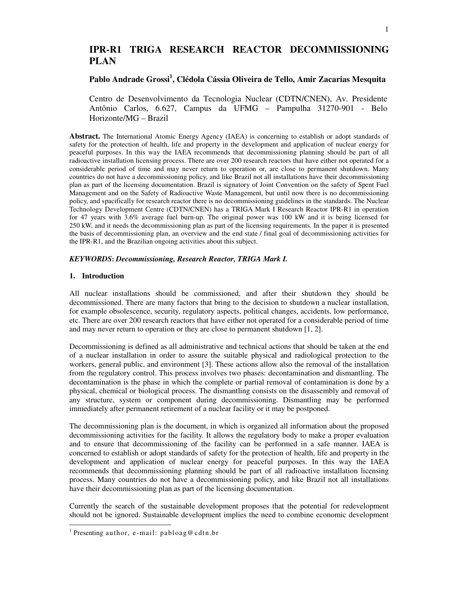# **IPR-R1 TRIGA RESEARCH REACTOR DECOMMISSIONING PLAN**

## **Pablo Andrade Grossi<sup>1</sup> , Clédola Cássia Oliveira de Tello, Amir Zacarias Mesquita**

Centro de Desenvolvimento da Tecnologia Nuclear (CDTN/CNEN), Av. Presidente Antônio Carlos, 6.627, Campus da UFMG – Pampulha 31270-901 - Belo Horizonte/MG – Brazil

**Abstract.** The International Atomic Energy Agency (IAEA) is concerning to establish or adopt standards of safety for the protection of health, life and property in the development and application of nuclear energy for peaceful purposes. In this way the IAEA recommends that decommissioning planning should be part of all radioactive installation licensing process. There are over 200 research reactors that have either not operated for a considerable period of time and may never return to operation or, are close to permanent shutdown. Many countries do not have a decommissioning policy, and like Brazil not all installations have their decommissioning plan as part of the licensing documentation. Brazil is signatory of Joint Convention on the safety of Spent Fuel Management and on the Safety of Radioactive Waste Management, but until now there is no decommissioning policy, and spacifically for research reactor there is no decommissioning guidelines in the standards. The Nuclear Technology Development Centre (CDTN/CNEN) has a TRIGA Mark I Research Reactor IPR-R1 in operation for 47 years with 3.6% average fuel burn-up. The original power was 100 kW and it is being licensed for 250 kW, and it needs the decommissioning plan as part of the licensing requirements. In the paper it is presented the basis of decommissioning plan, an overview and the end state / final goal of decommissioning activities for the IPR-R1, and the Brazilian ongoing activities about this subject.

### *KEYWORDS***:** *Decommissioning, Research Reactor, TRIGA Mark I.*

## **1. Introduction**

All nuclear installations should be commissioned, and after their shutdown they should be decommissioned. There are many factors that bring to the decision to shutdown a nuclear installation, for example obsolescence, security, regulatory aspects, political changes, accidents, low performance, etc. There are over 200 research reactors that have either not operated for a considerable period of time and may never return to operation or they are close to permanent shutdown [1, 2].

Decommissioning is defined as all administrative and technical actions that should be taken at the end of a nuclear installation in order to assure the suitable physical and radiological protection to the workers, general public, and environment [3]. These actions allow also the removal of the installation from the regulatory control. This process involves two phases: decontamination and dismantling. The decontamination is the phase in which the complete or partial removal of contamination is done by a physical, chemical or biological process. The dismantling consists on the disassembly and removal of any structure, system or component during decommissioning. Dismantling may be performed immediately after permanent retirement of a nuclear facility or it may be postponed.

The decommissioning plan is the document, in which is organized all information about the proposed decommissioning activities for the facility. It allows the regulatory body to make a proper evaluation and to ensure that decommissioning of the facility can be performed in a safe manner. IAEA is concerned to establish or adopt standards of safety for the protection of health, life and property in the development and application of nuclear energy for peaceful purposes. In this way the IAEA recommends that decommissioning planning should be part of all radioactive installation licensing process. Many countries do not have a decommissioning policy, and like Brazil not all installations have their decommissioning plan as part of the licensing documentation.

Currently the search of the sustainable development proposes that the potential for redevelopment should not be ignored. Sustainable development implies the need to combine economic development

 $\overline{a}$ 

<sup>&</sup>lt;sup>1</sup> Presenting author, e-mail: pabloag@cdtn.br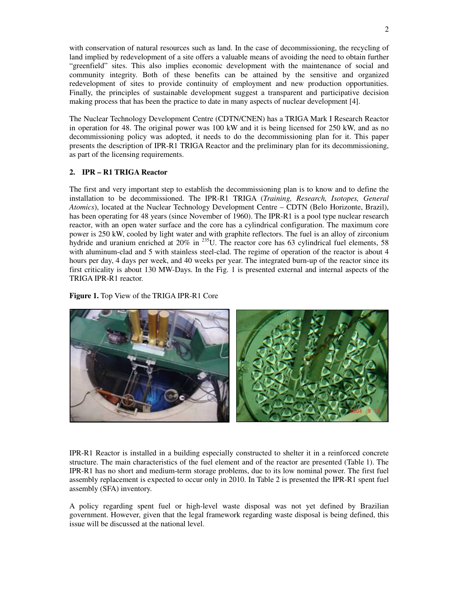with conservation of natural resources such as land. In the case of decommissioning, the recycling of land implied by redevelopment of a site offers a valuable means of avoiding the need to obtain further "greenfield" sites. This also implies economic development with the maintenance of social and community integrity. Both of these benefits can be attained by the sensitive and organized redevelopment of sites to provide continuity of employment and new production opportunities. Finally, the principles of sustainable development suggest a transparent and participative decision making process that has been the practice to date in many aspects of nuclear development [4].

The Nuclear Technology Development Centre (CDTN/CNEN) has a TRIGA Mark I Research Reactor in operation for 48. The original power was 100 kW and it is being licensed for 250 kW, and as no decommissioning policy was adopted, it needs to do the decommissioning plan for it. This paper presents the description of IPR-R1 TRIGA Reactor and the preliminary plan for its decommissioning, as part of the licensing requirements.

## **2. IPR – R1 TRIGA Reactor**

The first and very important step to establish the decommissioning plan is to know and to define the installation to be decommissioned. The IPR-R1 TRIGA (*Training, Research, Isotopes, General Atomics*), located at the Nuclear Technology Development Centre – CDTN (Belo Horizonte, Brazil), has been operating for 48 years (since November of 1960). The IPR-R1 is a pool type nuclear research reactor, with an open water surface and the core has a cylindrical configuration. The maximum core power is 250 kW, cooled by light water and with graphite reflectors. The fuel is an alloy of zirconium hydride and uranium enriched at 20% in <sup>235</sup>U. The reactor core has 63 cylindrical fuel elements, 58 with aluminum-clad and 5 with stainless steel-clad. The regime of operation of the reactor is about 4 hours per day, 4 days per week, and 40 weeks per year. The integrated burn-up of the reactor since its first criticality is about 130 MW-Days. In the Fig. 1 is presented external and internal aspects of the TRIGA IPR-R1 reactor.

**Figure 1.** Top View of the TRIGA IPR-R1 Core



IPR-R1 Reactor is installed in a building especially constructed to shelter it in a reinforced concrete structure. The main characteristics of the fuel element and of the reactor are presented (Table 1). The IPR-R1 has no short and medium-term storage problems, due to its low nominal power. The first fuel assembly replacement is expected to occur only in 2010. In Table 2 is presented the IPR-R1 spent fuel assembly (SFA) inventory.

A policy regarding spent fuel or high-level waste disposal was not yet defined by Brazilian government. However, given that the legal framework regarding waste disposal is being defined, this issue will be discussed at the national level.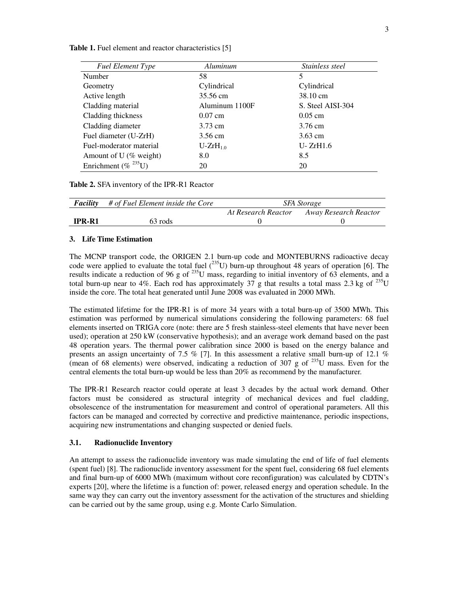| <b>Fuel Element Type</b>  | Aluminum       | Stainless steel   |
|---------------------------|----------------|-------------------|
| Number                    | 58             | 5                 |
| Geometry                  | Cylindrical    | Cylindrical       |
| Active length             | 35.56 cm       | 38.10 cm          |
| Cladding material         | Aluminum 1100F | S. Steel AISI-304 |
| Cladding thickness        | $0.07$ cm      | $0.05$ cm         |
| Cladding diameter         | 3.73 cm        | 3.76 cm           |
| Fuel diameter (U-ZrH)     | 3.56 cm        | $3.63$ cm         |
| Fuel-moderator material   | $U-ZrH_{1.0}$  | U- ZrH1.6         |
| Amount of U (% weight)    | 8.0            | 8.5               |
| Enrichment (% $^{235}$ U) | 20             | 20                |

**Table 1.** Fuel element and reactor characteristics [5]

**Table 2.** SFA inventory of the IPR-R1 Reactor

| <b>Facility</b> | # of Fuel Element inside the Core | <i>SFA Storage</i>  |                       |
|-----------------|-----------------------------------|---------------------|-----------------------|
|                 |                                   | At Research Reactor | Away Research Reactor |
| <b>IPR-R1</b>   | 63 rods                           |                     |                       |

## **3. Life Time Estimation**

The MCNP transport code, the ORIGEN 2.1 burn-up code and MONTEBURNS radioactive decay code were applied to evaluate the total fuel  $(^{235}U)$  burn-up throughout 48 years of operation [6]. The results indicate a reduction of 96 g of  $^{235}$ U mass, regarding to initial inventory of 63 elements, and a total burn-up near to 4%. Each rod has approximately 37 g that results a total mass 2.3 kg of <sup>235</sup>U inside the core. The total heat generated until June 2008 was evaluated in 2000 MWh.

The estimated lifetime for the IPR-R1 is of more 34 years with a total burn-up of 3500 MWh. This estimation was performed by numerical simulations considering the following parameters: 68 fuel elements inserted on TRIGA core (note: there are 5 fresh stainless-steel elements that have never been used); operation at 250 kW (conservative hypothesis); and an average work demand based on the past 48 operation years. The thermal power calibration since 2000 is based on the energy balance and presents an assign uncertainty of 7.5 % [7]. In this assessment a relative small burn-up of 12.1 % (mean of 68 elements) were observed, indicating a reduction of 307 g of  $^{235}$ U mass. Even for the central elements the total burn-up would be less than 20% as recommend by the manufacturer.

The IPR-R1 Research reactor could operate at least 3 decades by the actual work demand. Other factors must be considered as structural integrity of mechanical devices and fuel cladding, obsolescence of the instrumentation for measurement and control of operational parameters. All this factors can be managed and corrected by corrective and predictive maintenance, periodic inspections, acquiring new instrumentations and changing suspected or denied fuels.

### **3.1. Radionuclide Inventory**

An attempt to assess the radionuclide inventory was made simulating the end of life of fuel elements (spent fuel) [8]. The radionuclide inventory assessment for the spent fuel, considering 68 fuel elements and final burn-up of 6000 MWh (maximum without core reconfiguration) was calculated by CDTN's experts [20], where the lifetime is a function of: power, released energy and operation schedule. In the same way they can carry out the inventory assessment for the activation of the structures and shielding can be carried out by the same group, using e.g. Monte Carlo Simulation.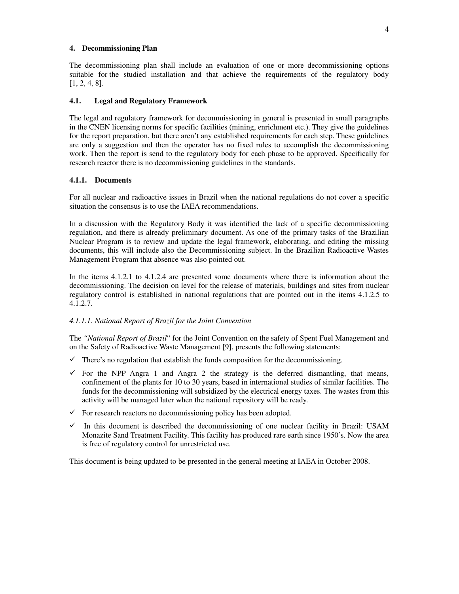## **4. Decommissioning Plan**

The decommissioning plan shall include an evaluation of one or more decommissioning options suitable for the studied installation and that achieve the requirements of the regulatory body [1, 2, 4, 8].

#### **4.1. Legal and Regulatory Framework**

The legal and regulatory framework for decommissioning in general is presented in small paragraphs in the CNEN licensing norms for specific facilities (mining, enrichment etc.). They give the guidelines for the report preparation, but there aren't any established requirements for each step. These guidelines are only a suggestion and then the operator has no fixed rules to accomplish the decommissioning work. Then the report is send to the regulatory body for each phase to be approved. Specifically for research reactor there is no decommissioning guidelines in the standards.

#### **4.1.1. Documents**

For all nuclear and radioactive issues in Brazil when the national regulations do not cover a specific situation the consensus is to use the IAEA recommendations.

In a discussion with the Regulatory Body it was identified the lack of a specific decommissioning regulation, and there is already preliminary document. As one of the primary tasks of the Brazilian Nuclear Program is to review and update the legal framework, elaborating, and editing the missing documents, this will include also the Decommissioning subject. In the Brazilian Radioactive Wastes Management Program that absence was also pointed out.

In the items 4.1.2.1 to 4.1.2.4 are presented some documents where there is information about the decommissioning. The decision on level for the release of materials, buildings and sites from nuclear regulatory control is established in national regulations that are pointed out in the items 4.1.2.5 to 4.1.2.7.

## *4.1.1.1. National Report of Brazil for the Joint Convention*

The *"National Report of Brazil*" for the Joint Convention on the safety of Spent Fuel Management and on the Safety of Radioactive Waste Management [9], presents the following statements:

- $\checkmark$  There's no regulation that establish the funds composition for the decommissioning.
- $\checkmark$  For the NPP Angra 1 and Angra 2 the strategy is the deferred dismantling, that means, confinement of the plants for 10 to 30 years, based in international studies of similar facilities. The funds for the decommissioning will subsidized by the electrical energy taxes. The wastes from this activity will be managed later when the national repository will be ready.
- $\checkmark$  For research reactors no decommissioning policy has been adopted.
- $\checkmark$  In this document is described the decommissioning of one nuclear facility in Brazil: USAM Monazite Sand Treatment Facility. This facility has produced rare earth since 1950's. Now the area is free of regulatory control for unrestricted use.

This document is being updated to be presented in the general meeting at IAEA in October 2008.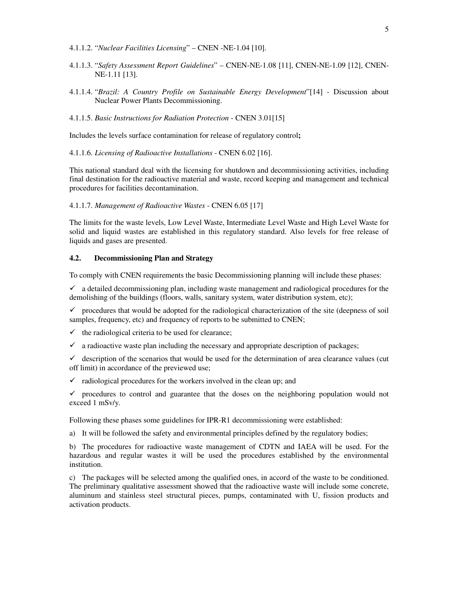- 4.1.1.2. "*Nuclear Facilities Licensing*" CNEN -NE-1.04 [10].
- 4.1.1.3. "*Safety Assessment Report Guidelines*" CNEN-NE-1.08 [11], CNEN-NE-1.09 [12], CNEN-NE-1.11 [13].
- 4.1.1.4. "*Brazil: A Country Profile on Sustainable Energy Development*"[14] Discussion about Nuclear Power Plants Decommissioning.
- 4.1.1.5. *Basic Instructions for Radiation Protection* CNEN 3.01[15]

Includes the levels surface contamination for release of regulatory control**;** 

4.1.1.6. *Licensing of Radioactive Installations* - CNEN 6.02 [16].

This national standard deal with the licensing for shutdown and decommissioning activities, including final destination for the radioactive material and waste, record keeping and management and technical procedures for facilities decontamination.

4.1.1.7. *Management of Radioactive Wastes* - CNEN 6.05 [17]

The limits for the waste levels, Low Level Waste, Intermediate Level Waste and High Level Waste for solid and liquid wastes are established in this regulatory standard. Also levels for free release of liquids and gases are presented.

## **4.2. Decommissioning Plan and Strategy**

To comply with CNEN requirements the basic Decommissioning planning will include these phases:

 $\checkmark$  a detailed decommissioning plan, including waste management and radiological procedures for the demolishing of the buildings (floors, walls, sanitary system, water distribution system, etc);

 $\checkmark$  procedures that would be adopted for the radiological characterization of the site (deepness of soil samples, frequency, etc) and frequency of reports to be submitted to CNEN;

 $\checkmark$  the radiological criteria to be used for clearance;

 $\checkmark$  a radioactive waste plan including the necessary and appropriate description of packages;

 $\checkmark$  description of the scenarios that would be used for the determination of area clearance values (cut off limit) in accordance of the previewed use;

 $\checkmark$  radiological procedures for the workers involved in the clean up; and

 $\checkmark$  procedures to control and guarantee that the doses on the neighboring population would not exceed 1 mSv/y.

Following these phases some guidelines for IPR-R1 decommissioning were established:

a) It will be followed the safety and environmental principles defined by the regulatory bodies;

b) The procedures for radioactive waste management of CDTN and IAEA will be used. For the hazardous and regular wastes it will be used the procedures established by the environmental institution.

c) The packages will be selected among the qualified ones, in accord of the waste to be conditioned. The preliminary qualitative assessment showed that the radioactive waste will include some concrete, aluminum and stainless steel structural pieces, pumps, contaminated with U, fission products and activation products.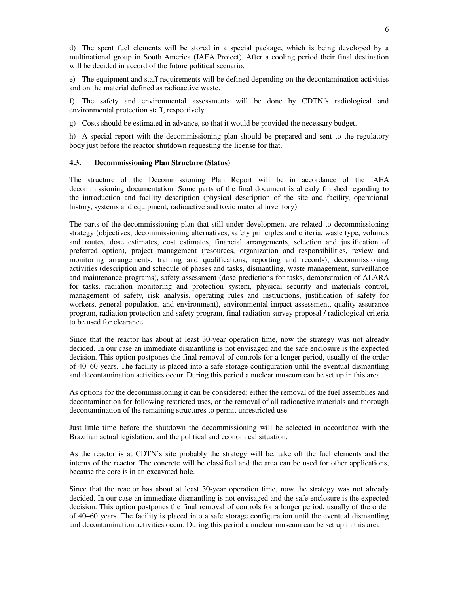d) The spent fuel elements will be stored in a special package, which is being developed by a multinational group in South America (IAEA Project). After a cooling period their final destination will be decided in accord of the future political scenario.

e) The equipment and staff requirements will be defined depending on the decontamination activities and on the material defined as radioactive waste.

f) The safety and environmental assessments will be done by CDTN´s radiological and environmental protection staff, respectively.

g) Costs should be estimated in advance, so that it would be provided the necessary budget.

h) A special report with the decommissioning plan should be prepared and sent to the regulatory body just before the reactor shutdown requesting the license for that.

## **4.3. Decommissioning Plan Structure (Status)**

The structure of the Decommissioning Plan Report will be in accordance of the IAEA decommissioning documentation: Some parts of the final document is already finished regarding to the introduction and facility description (physical description of the site and facility, operational history, systems and equipment, radioactive and toxic material inventory).

The parts of the decommissioning plan that still under development are related to decommissioning strategy (objectives, decommissioning alternatives, safety principles and criteria, waste type, volumes and routes, dose estimates, cost estimates, financial arrangements, selection and justification of preferred option), project management (resources, organization and responsibilities, review and monitoring arrangements, training and qualifications, reporting and records), decommissioning activities (description and schedule of phases and tasks, dismantling, waste management, surveillance and maintenance programs), safety assessment (dose predictions for tasks, demonstration of ALARA for tasks, radiation monitoring and protection system, physical security and materials control, management of safety, risk analysis, operating rules and instructions, justification of safety for workers, general population, and environment), environmental impact assessment, quality assurance program, radiation protection and safety program, final radiation survey proposal / radiological criteria to be used for clearance

Since that the reactor has about at least 30-year operation time, now the strategy was not already decided. In our case an immediate dismantling is not envisaged and the safe enclosure is the expected decision. This option postpones the final removal of controls for a longer period, usually of the order of 40–60 years. The facility is placed into a safe storage configuration until the eventual dismantling and decontamination activities occur. During this period a nuclear museum can be set up in this area

As options for the decommissioning it can be considered: either the removal of the fuel assemblies and decontamination for following restricted uses, or the removal of all radioactive materials and thorough decontamination of the remaining structures to permit unrestricted use.

Just little time before the shutdown the decommissioning will be selected in accordance with the Brazilian actual legislation, and the political and economical situation.

As the reactor is at CDTN`s site probably the strategy will be: take off the fuel elements and the interns of the reactor. The concrete will be classified and the area can be used for other applications, because the core is in an excavated hole.

Since that the reactor has about at least 30-year operation time, now the strategy was not already decided. In our case an immediate dismantling is not envisaged and the safe enclosure is the expected decision. This option postpones the final removal of controls for a longer period, usually of the order of 40–60 years. The facility is placed into a safe storage configuration until the eventual dismantling and decontamination activities occur. During this period a nuclear museum can be set up in this area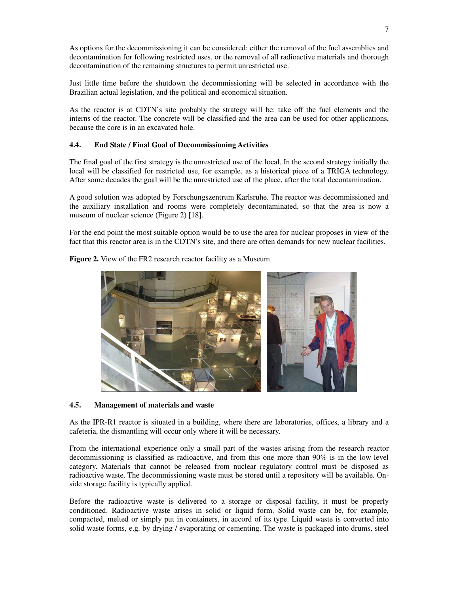As options for the decommissioning it can be considered: either the removal of the fuel assemblies and decontamination for following restricted uses, or the removal of all radioactive materials and thorough decontamination of the remaining structures to permit unrestricted use.

Just little time before the shutdown the decommissioning will be selected in accordance with the Brazilian actual legislation, and the political and economical situation.

As the reactor is at CDTN`s site probably the strategy will be: take off the fuel elements and the interns of the reactor. The concrete will be classified and the area can be used for other applications, because the core is in an excavated hole.

## **4.4. End State / Final Goal of Decommissioning Activities**

The final goal of the first strategy is the unrestricted use of the local. In the second strategy initially the local will be classified for restricted use, for example, as a historical piece of a TRIGA technology. After some decades the goal will be the unrestricted use of the place, after the total decontamination.

A good solution was adopted by Forschungszentrum Karlsruhe. The reactor was decommissioned and the auxiliary installation and rooms were completely decontaminated, so that the area is now a museum of nuclear science (Figure 2) [18].

For the end point the most suitable option would be to use the area for nuclear proposes in view of the fact that this reactor area is in the CDTN's site, and there are often demands for new nuclear facilities.



**Figure 2.** View of the FR2 research reactor facility as a Museum

## **4.5. Management of materials and waste**

As the IPR-R1 reactor is situated in a building, where there are laboratories, offices, a library and a cafeteria, the dismantling will occur only where it will be necessary.

From the international experience only a small part of the wastes arising from the research reactor decommissioning is classified as radioactive, and from this one more than 90% is in the low-level category. Materials that cannot be released from nuclear regulatory control must be disposed as radioactive waste. The decommissioning waste must be stored until a repository will be available. Onside storage facility is typically applied.

Before the radioactive waste is delivered to a storage or disposal facility, it must be properly conditioned. Radioactive waste arises in solid or liquid form. Solid waste can be, for example, compacted, melted or simply put in containers, in accord of its type. Liquid waste is converted into solid waste forms, e.g. by drying / evaporating or cementing. The waste is packaged into drums, steel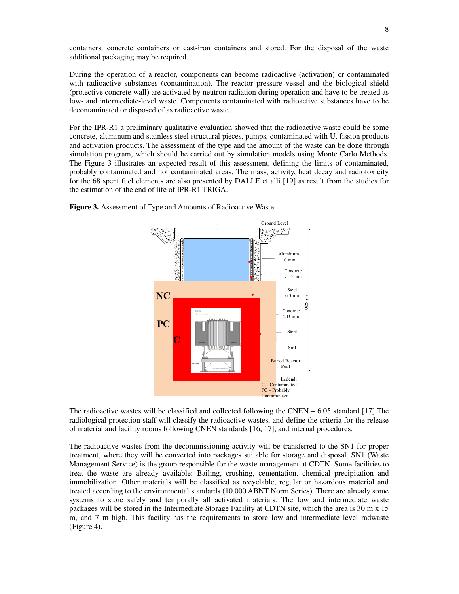containers, concrete containers or cast-iron containers and stored. For the disposal of the waste additional packaging may be required.

During the operation of a reactor, components can become radioactive (activation) or contaminated with radioactive substances (contamination). The reactor pressure vessel and the biological shield (protective concrete wall) are activated by neutron radiation during operation and have to be treated as low- and intermediate-level waste. Components contaminated with radioactive substances have to be decontaminated or disposed of as radioactive waste.

For the IPR-R1 a preliminary qualitative evaluation showed that the radioactive waste could be some concrete, aluminum and stainless steel structural pieces, pumps, contaminated with U, fission products and activation products. The assessment of the type and the amount of the waste can be done through simulation program, which should be carried out by simulation models using Monte Carlo Methods. The Figure 3 illustrates an expected result of this assessment, defining the limits of contaminated, probably contaminated and not contaminated areas. The mass, activity, heat decay and radiotoxicity for the 68 spent fuel elements are also presented by DALLE et alli [19] as result from the studies for the estimation of the end of life of IPR-R1 TRIGA.



**Figure 3.** Assessment of Type and Amounts of Radioactive Waste.

The radioactive wastes will be classified and collected following the CNEN – 6.05 standard [17].The radiological protection staff will classify the radioactive wastes, and define the criteria for the release of material and facility rooms following CNEN standards [16, 17], and internal procedures.

The radioactive wastes from the decommissioning activity will be transferred to the SN1 for proper treatment, where they will be converted into packages suitable for storage and disposal. SN1 (Waste Management Service) is the group responsible for the waste management at CDTN. Some facilities to treat the waste are already available: Bailing, crushing, cementation, chemical precipitation and immobilization. Other materials will be classified as recyclable, regular or hazardous material and treated according to the environmental standards (10.000 ABNT Norm Series). There are already some systems to store safely and temporally all activated materials. The low and intermediate waste packages will be stored in the Intermediate Storage Facility at CDTN site, which the area is 30 m x 15 m, and 7 m high. This facility has the requirements to store low and intermediate level radwaste (Figure 4).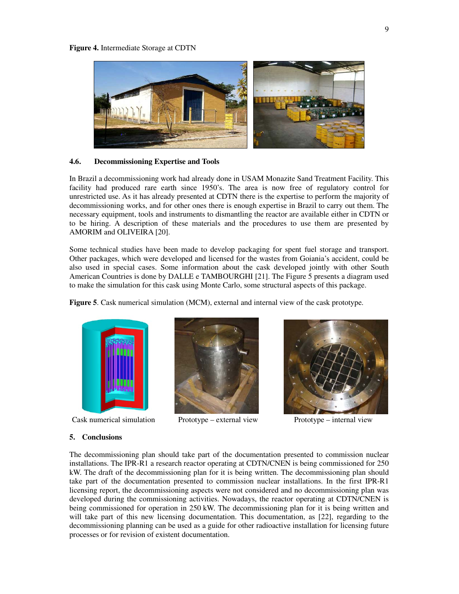

#### **4.6. Decommissioning Expertise and Tools**

In Brazil a decommissioning work had already done in USAM Monazite Sand Treatment Facility. This facility had produced rare earth since 1950's. The area is now free of regulatory control for unrestricted use. As it has already presented at CDTN there is the expertise to perform the majority of decommissioning works, and for other ones there is enough expertise in Brazil to carry out them. The necessary equipment, tools and instruments to dismantling the reactor are available either in CDTN or to be hiring. A description of these materials and the procedures to use them are presented by AMORIM and OLIVEIRA [20].

Some technical studies have been made to develop packaging for spent fuel storage and transport. Other packages, which were developed and licensed for the wastes from Goiania's accident, could be also used in special cases. Some information about the cask developed jointly with other South American Countries is done by DALLE e TAMBOURGHI [21]. The Figure 5 presents a diagram used to make the simulation for this cask using Monte Carlo, some structural aspects of this package.

**Figure 5**. Cask numerical simulation (MCM), external and internal view of the cask prototype.



Cask numerical simulation Prototype – external view Prototype – internal view





#### **5. Conclusions**

The decommissioning plan should take part of the documentation presented to commission nuclear installations. The IPR-R1 a research reactor operating at CDTN/CNEN is being commissioned for 250 kW. The draft of the decommissioning plan for it is being written. The decommissioning plan should take part of the documentation presented to commission nuclear installations. In the first IPR-R1 licensing report, the decommissioning aspects were not considered and no decommissioning plan was developed during the commissioning activities. Nowadays, the reactor operating at CDTN/CNEN is being commissioned for operation in 250 kW. The decommissioning plan for it is being written and will take part of this new licensing documentation. This documentation, as [22], regarding to the decommissioning planning can be used as a guide for other radioactive installation for licensing future processes or for revision of existent documentation.